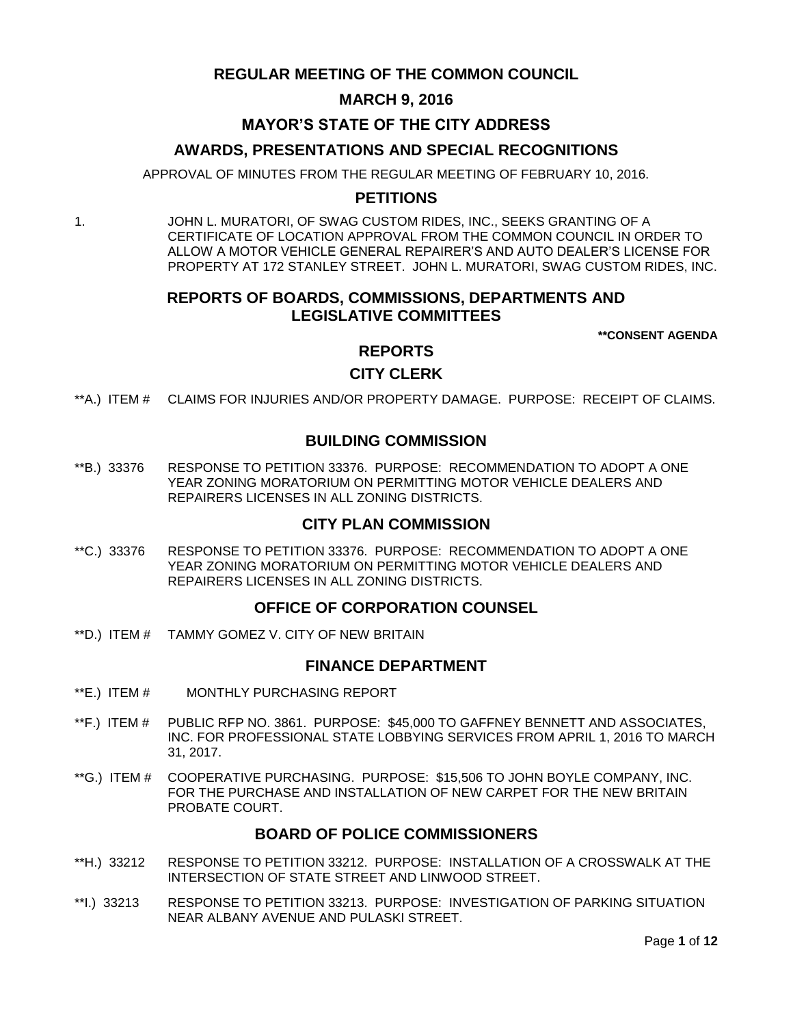# **REGULAR MEETING OF THE COMMON COUNCIL**

## **MARCH 9, 2016**

## **MAYOR'S STATE OF THE CITY ADDRESS**

## **AWARDS, PRESENTATIONS AND SPECIAL RECOGNITIONS**

APPROVAL OF MINUTES FROM THE REGULAR MEETING OF FEBRUARY 10, 2016.

## **PETITIONS**

1. JOHN L. MURATORI, OF SWAG CUSTOM RIDES, INC., SEEKS GRANTING OF A CERTIFICATE OF LOCATION APPROVAL FROM THE COMMON COUNCIL IN ORDER TO ALLOW A MOTOR VEHICLE GENERAL REPAIRER'S AND AUTO DEALER'S LICENSE FOR PROPERTY AT 172 STANLEY STREET. JOHN L. MURATORI, SWAG CUSTOM RIDES, INC.

# **REPORTS OF BOARDS, COMMISSIONS, DEPARTMENTS AND LEGISLATIVE COMMITTEES**

**\*\*CONSENT AGENDA**

## **REPORTS**

## **CITY CLERK**

\*\*A.) ITEM # [CLAIMS FOR INJURIES AND/OR PROPERTY DAMAGE. PURPOSE: RECEIPT OF CLAIMS.](#page-2-0)

## **BUILDING COMMISSION**

\*\*B.) 33376 [RESPONSE TO PETITION 33376. PURPOSE: RECOMMENDATION TO ADOPT A ONE](#page-2-1)  [YEAR ZONING MORATORIUM ON PERMITTING MOTOR VEHICLE DEALERS AND](#page-2-1)  REPAIRERS LICENSES [IN ALL ZONING DISTRICTS.](#page-2-1)

### **CITY PLAN COMMISSION**

\*\*C.) 33376 [RESPONSE TO PETITION 33376. PURPOSE: RECOMMENDATION TO ADOPT A ONE](#page-3-0)  [YEAR ZONING MORATORIUM ON PERMITTING MOTOR VEHICLE DEALERS AND](#page-3-0)  [REPAIRERS LICENSES IN ALL ZONING DISTRICTS.](#page-3-0)

## **OFFICE OF CORPORATION COUNSEL**

\*\*D.) ITEM # [TAMMY GOMEZ V. CITY OF NEW BRITAIN](#page-3-1)

### **FINANCE DEPARTMENT**

- \*\*E.) ITEM # [MONTHLY PURCHASING REPORT](#page-3-2)
- \*\*F.) ITEM # [PUBLIC RFP NO. 3861. PURPOSE: \\$45,000 TO GAFFNEY BENNETT AND ASSOCIATES,](#page-4-0)  [INC. FOR PROFESSIONAL STATE LOBBYING SERVICES FROM APRIL 1, 2016 TO MARCH](#page-4-0)  [31, 2017.](#page-4-0)
- \*\*G.) ITEM # [COOPERATIVE PURCHASING. PURPOSE: \\$15,506 TO JOHN BOYLE COMPANY, INC.](#page-4-1)  [FOR THE PURCHASE AND INSTALLATION OF NEW CARPET FOR THE NEW BRITAIN](#page-4-1)  [PROBATE COURT.](#page-4-1)

## **BOARD OF POLICE COMMISSIONERS**

- \*\*H.) 33212 [RESPONSE TO PETITION 33212. PURPOSE: INSTALLATION OF A CROSSWALK AT THE](#page-5-0)  [INTERSECTION OF STATE STREET AND LINWOOD STREET.](#page-5-0)
- \*\*I.) 33213 [RESPONSE TO PETITION 33213. PURPOSE: INVESTIGATION OF PARKING SITUATION](#page-5-1)  [NEAR ALBANY AVENUE AND PULASKI STREET.](#page-5-1)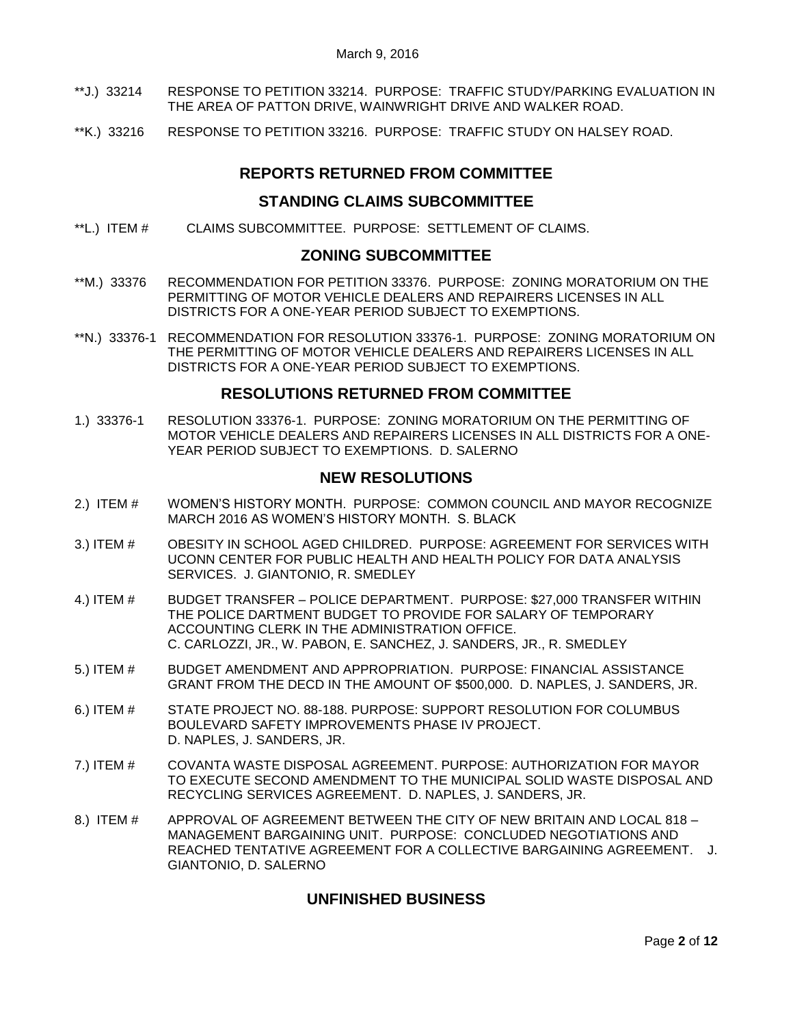- \*\*J.) 33214 [RESPONSE TO PETITION 33214. PURPOSE: TRAFFIC STUDY/PARKING EVALUATION IN](#page-6-0)  [THE AREA OF PATTON DRIVE, WAINWRIGHT DRIVE AND WALKER ROAD.](#page-6-0)
- \*\*K.) 33216 [RESPONSE TO PETITION 33216. PURPOSE: TRAFFIC STUDY ON HALSEY ROAD.](#page-6-1)

# **REPORTS RETURNED FROM COMMITTEE**

## **STANDING CLAIMS SUBCOMMITTEE**

\*\*L.) ITEM # [CLAIMS SUBCOMMITTEE. PURPOSE: SETTLEMENT OF CLAIMS.](#page-7-0)

### **ZONING SUBCOMMITTEE**

- \*\*M.) 33376 [RECOMMENDATION FOR PETITION 33376. PURPOSE: ZONING MORATORIUM ON THE](#page-7-1)  [PERMITTING OF MOTOR VEHICLE DEALERS AND REPAIRERS LICENSES IN ALL](#page-7-1)  [DISTRICTS FOR A ONE-YEAR PERIOD SUBJECT TO EXEMPTIONS.](#page-7-1)
- \*\*N.) 33376-1 [RECOMMENDATION FOR RESOLUTION 33376-1. PURPOSE: ZONING MORATORIUM ON](#page-7-2)  [THE PERMITTING OF MOTOR VEHICLE DEALERS AND REPAIRERS LICENSES IN ALL](#page-7-2)  [DISTRICTS FOR A ONE-YEAR PERIOD SUBJECT TO EXEMPTIONS.](#page-7-2)

# **RESOLUTIONS RETURNED FROM COMMITTEE**

1.) 33376-1 [RESOLUTION 33376-1. PURPOSE: ZONING MORATORIUM ON THE PERMITTING OF](#page-7-3)  [MOTOR VEHICLE DEALERS AND REPAIRERS LICENSES IN ALL DISTRICTS FOR A ONE-](#page-7-3)[YEAR PERIOD SUBJECT TO EXEMPTIONS. D. SALERNO](#page-7-3)

# **NEW RESOLUTIONS**

- 2.) ITEM # [WOMEN'S HISTORY MONTH. PURPOSE: COMMON COUNCIL AND MAYOR RECOGNIZE](#page-7-4)  MARCH 2016 [AS WOMEN'S HISTORY MONTH. S. BLACK](#page-7-4)
- 3.) ITEM # [OBESITY IN SCHOOL AGED CHILDRED. PURPOSE: AGREEMENT FOR SERVICES WITH](#page-8-0)  [UCONN CENTER FOR PUBLIC HEALTH AND HEALTH POLICY FOR DATA ANALYSIS](#page-8-0)  [SERVICES. J. GIANTONIO, R. SMEDLEY](#page-8-0)
- 4.) ITEM # BUDGET TRANSFER [POLICE DEPARTMENT. PURPOSE: \\$27,000 TRANSFER WITHIN](#page-9-0)  [THE POLICE DARTMENT BUDGET TO PROVIDE FOR SALARY OF TEMPORARY](#page-9-0)  [ACCOUNTING CLERK IN THE ADMINISTRATION OFFICE.](#page-9-0) [C. CARLOZZI, JR., W. PABON, E. SANCHEZ, J. SANDERS, JR., R. SMEDLEY](#page-9-0)
- 5.) ITEM # [BUDGET AMENDMENT AND APPROPRIATION. PURPOSE: FINANCIAL ASSISTANCE](#page-9-1)  [GRANT FROM THE DECD IN THE AMOUNT OF \\$500,000. D. NAPLES, J. SANDERS, JR.](#page-9-1)
- 6.) ITEM # [STATE PROJECT NO. 88-188. PURPOSE: SUPPORT RESOLUTION FOR COLUMBUS](#page-10-0)  [BOULEVARD SAFETY IMPROVEMENTS PHASE IV PROJECT.](#page-10-0)  [D. NAPLES, J. SANDERS, JR.](#page-10-0)
- 7.) ITEM # [COVANTA WASTE DISPOSAL AGREEMENT. PURPOSE: AUTHORIZATION FOR MAYOR](#page-10-1)  [TO EXECUTE SECOND AMENDMENT TO THE MUNICIPAL SOLID WASTE DISPOSAL AND](#page-10-1)  [RECYCLING SERVICES AGREEMENT. D. NAPLES, J. SANDERS, JR.](#page-10-1)
- 8.) ITEM # [APPROVAL OF AGREEMENT BETWEEN THE CITY OF NEW BRITAIN AND LOCAL 818 –](#page-11-0) [MANAGEMENT BARGAINING UNIT. PURPOSE: CONCLUDED NEGOTIATIONS AND](#page-11-0)  [REACHED TENTATIVE AGREEMENT FOR A COLLECTIVE BARGAINING AGREEMENT. J.](#page-11-0)  [GIANTONIO, D. SALERNO](#page-11-0)

# **UNFINISHED BUSINESS**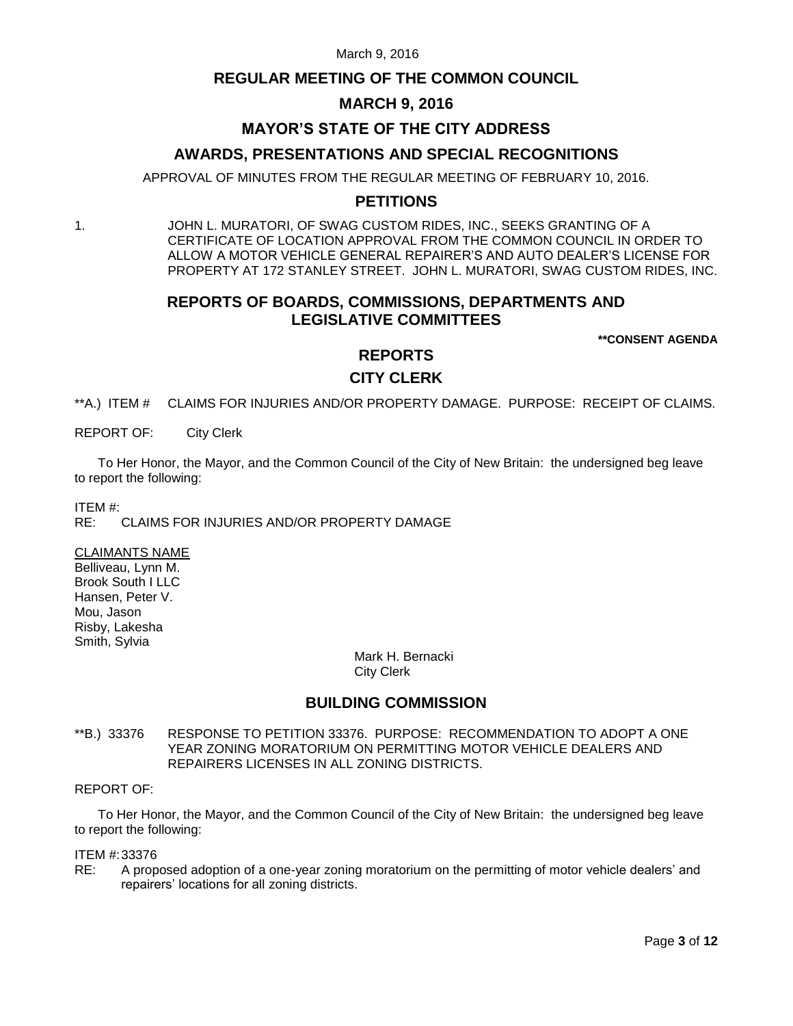### **REGULAR MEETING OF THE COMMON COUNCIL**

## **MARCH 9, 2016**

# **MAYOR'S STATE OF THE CITY ADDRESS**

### **AWARDS, PRESENTATIONS AND SPECIAL RECOGNITIONS**

APPROVAL OF MINUTES FROM THE REGULAR MEETING OF FEBRUARY 10, 2016.

# **PETITIONS**

1. JOHN L. MURATORI, OF SWAG CUSTOM RIDES, INC., SEEKS GRANTING OF A CERTIFICATE OF LOCATION APPROVAL FROM THE COMMON COUNCIL IN ORDER TO ALLOW A MOTOR VEHICLE GENERAL REPAIRER'S AND AUTO DEALER'S LICENSE FOR PROPERTY AT 172 STANLEY STREET. JOHN L. MURATORI, SWAG CUSTOM RIDES, INC.

# **REPORTS OF BOARDS, COMMISSIONS, DEPARTMENTS AND LEGISLATIVE COMMITTEES**

**\*\*CONSENT AGENDA**

### **REPORTS**

### **CITY CLERK**

<span id="page-2-0"></span>\*\*A.) ITEM # CLAIMS FOR INJURIES AND/OR PROPERTY DAMAGE. PURPOSE: RECEIPT OF CLAIMS.

REPORT OF: City Clerk

To Her Honor, the Mayor, and the Common Council of the City of New Britain: the undersigned beg leave to report the following:

ITEM #:

CLAIMS FOR INJURIES AND/OR PROPERTY DAMAGE

CLAIMANTS NAME Belliveau, Lynn M. Brook South I LLC Hansen, Peter V. Mou, Jason

Risby, Lakesha Smith, Sylvia

> Mark H. Bernacki City Clerk

# **BUILDING COMMISSION**

<span id="page-2-1"></span>\*\*B.) 33376 RESPONSE TO PETITION 33376. PURPOSE: RECOMMENDATION TO ADOPT A ONE YEAR ZONING MORATORIUM ON PERMITTING MOTOR VEHICLE DEALERS AND REPAIRERS LICENSES IN ALL ZONING DISTRICTS.

#### REPORT OF:

To Her Honor, the Mayor, and the Common Council of the City of New Britain: the undersigned beg leave to report the following:

#### ITEM #:33376

RE: A proposed adoption of a one-year zoning moratorium on the permitting of motor vehicle dealers' and repairers' locations for all zoning districts.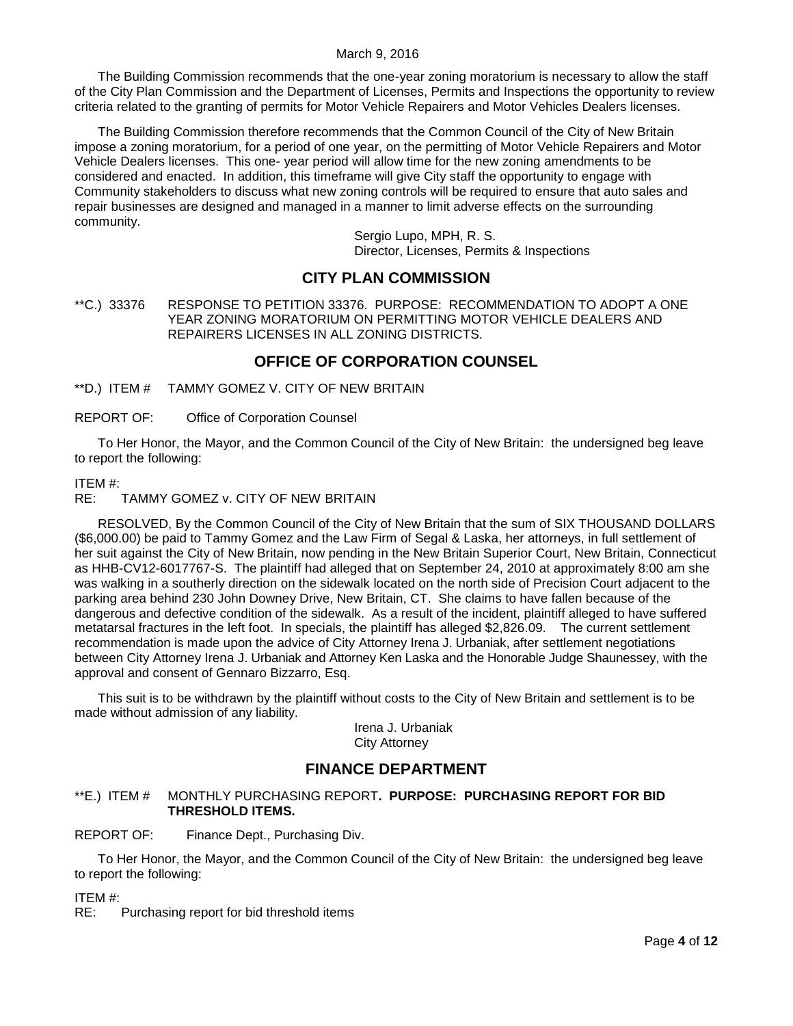The Building Commission recommends that the one-year zoning moratorium is necessary to allow the staff of the City Plan Commission and the Department of Licenses, Permits and Inspections the opportunity to review criteria related to the granting of permits for Motor Vehicle Repairers and Motor Vehicles Dealers licenses.

The Building Commission therefore recommends that the Common Council of the City of New Britain impose a zoning moratorium, for a period of one year, on the permitting of Motor Vehicle Repairers and Motor Vehicle Dealers licenses. This one- year period will allow time for the new zoning amendments to be considered and enacted. In addition, this timeframe will give City staff the opportunity to engage with Community stakeholders to discuss what new zoning controls will be required to ensure that auto sales and repair businesses are designed and managed in a manner to limit adverse effects on the surrounding community.

> Sergio Lupo, MPH, R. S. Director, Licenses, Permits & Inspections

# **CITY PLAN COMMISSION**

<span id="page-3-0"></span>\*\*C.) 33376 RESPONSE TO PETITION 33376. PURPOSE: RECOMMENDATION TO ADOPT A ONE YEAR ZONING MORATORIUM ON PERMITTING MOTOR VEHICLE DEALERS AND REPAIRERS LICENSES IN ALL ZONING DISTRICTS.

# **OFFICE OF CORPORATION COUNSEL**

<span id="page-3-1"></span>\*\*D.) ITEM # TAMMY GOMEZ V. CITY OF NEW BRITAIN

REPORT OF: Office of Corporation Counsel

To Her Honor, the Mayor, and the Common Council of the City of New Britain: the undersigned beg leave to report the following:

#### ITEM #:

RE: TAMMY GOMEZ v. CITY OF NEW BRITAIN

RESOLVED, By the Common Council of the City of New Britain that the sum of SIX THOUSAND DOLLARS (\$6,000.00) be paid to Tammy Gomez and the Law Firm of Segal & Laska, her attorneys, in full settlement of her suit against the City of New Britain, now pending in the New Britain Superior Court, New Britain, Connecticut as HHB-CV12-6017767-S. The plaintiff had alleged that on September 24, 2010 at approximately 8:00 am she was walking in a southerly direction on the sidewalk located on the north side of Precision Court adjacent to the parking area behind 230 John Downey Drive, New Britain, CT. She claims to have fallen because of the dangerous and defective condition of the sidewalk. As a result of the incident, plaintiff alleged to have suffered metatarsal fractures in the left foot. In specials, the plaintiff has alleged \$2,826.09. The current settlement recommendation is made upon the advice of City Attorney Irena J. Urbaniak, after settlement negotiations between City Attorney Irena J. Urbaniak and Attorney Ken Laska and the Honorable Judge Shaunessey, with the approval and consent of Gennaro Bizzarro, Esq.

This suit is to be withdrawn by the plaintiff without costs to the City of New Britain and settlement is to be made without admission of any liability.

> Irena J. Urbaniak City Attorney

# **FINANCE DEPARTMENT**

#### <span id="page-3-2"></span>\*\*E.) ITEM # MONTHLY PURCHASING REPORT**. PURPOSE: PURCHASING REPORT FOR BID THRESHOLD ITEMS.**

REPORT OF: Finance Dept., Purchasing Div.

To Her Honor, the Mayor, and the Common Council of the City of New Britain: the undersigned beg leave to report the following:

ITEM #:

RE: Purchasing report for bid threshold items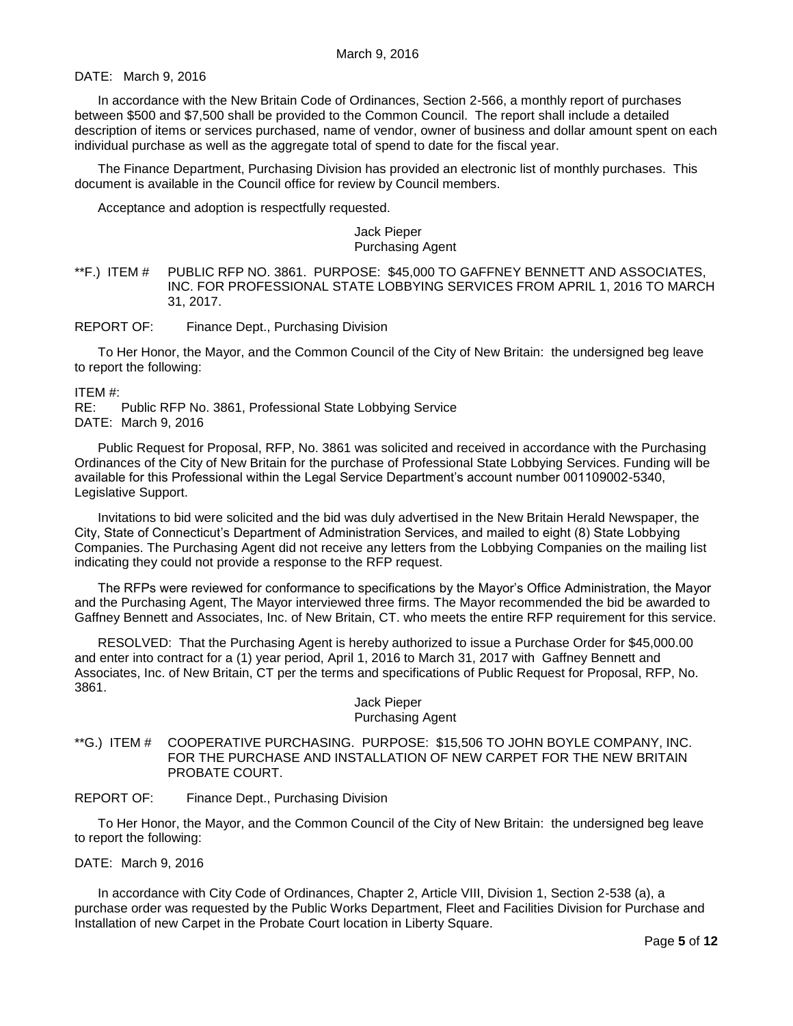DATE: March 9, 2016

In accordance with the New Britain Code of Ordinances, Section 2-566, a monthly report of purchases between \$500 and \$7,500 shall be provided to the Common Council. The report shall include a detailed description of items or services purchased, name of vendor, owner of business and dollar amount spent on each individual purchase as well as the aggregate total of spend to date for the fiscal year.

The Finance Department, Purchasing Division has provided an electronic list of monthly purchases. This document is available in the Council office for review by Council members.

Acceptance and adoption is respectfully requested.

#### Jack Pieper Purchasing Agent

#### <span id="page-4-0"></span>\*\*F.) ITEM # PUBLIC RFP NO. 3861. PURPOSE: \$45,000 TO GAFFNEY BENNETT AND ASSOCIATES, INC. FOR PROFESSIONAL STATE LOBBYING SERVICES FROM APRIL 1, 2016 TO MARCH 31, 2017.

REPORT OF: Finance Dept., Purchasing Division

To Her Honor, the Mayor, and the Common Council of the City of New Britain: the undersigned beg leave to report the following:

ITEM #:

RE: Public RFP No. 3861, Professional State Lobbying Service DATE: March 9, 2016

Public Request for Proposal, RFP, No. 3861 was solicited and received in accordance with the Purchasing Ordinances of the City of New Britain for the purchase of Professional State Lobbying Services. Funding will be available for this Professional within the Legal Service Department's account number 001109002-5340, Legislative Support.

Invitations to bid were solicited and the bid was duly advertised in the New Britain Herald Newspaper, the City, State of Connecticut's Department of Administration Services, and mailed to eight (8) State Lobbying Companies. The Purchasing Agent did not receive any letters from the Lobbying Companies on the mailing list indicating they could not provide a response to the RFP request.

The RFPs were reviewed for conformance to specifications by the Mayor's Office Administration, the Mayor and the Purchasing Agent, The Mayor interviewed three firms. The Mayor recommended the bid be awarded to Gaffney Bennett and Associates, Inc. of New Britain, CT. who meets the entire RFP requirement for this service.

RESOLVED: That the Purchasing Agent is hereby authorized to issue a Purchase Order for \$45,000.00 and enter into contract for a (1) year period, April 1, 2016 to March 31, 2017 with Gaffney Bennett and Associates, Inc. of New Britain, CT per the terms and specifications of Public Request for Proposal, RFP, No. 3861.

#### Jack Pieper Purchasing Agent

<span id="page-4-1"></span>\*\*G.) ITEM # COOPERATIVE PURCHASING. PURPOSE: \$15,506 TO JOHN BOYLE COMPANY, INC. FOR THE PURCHASE AND INSTALLATION OF NEW CARPET FOR THE NEW BRITAIN PROBATE COURT.

REPORT OF: Finance Dept., Purchasing Division

To Her Honor, the Mayor, and the Common Council of the City of New Britain: the undersigned beg leave to report the following:

DATE: March 9, 2016

In accordance with City Code of Ordinances, Chapter 2, Article VIII, Division 1, Section 2-538 (a), a purchase order was requested by the Public Works Department, Fleet and Facilities Division for Purchase and Installation of new Carpet in the Probate Court location in Liberty Square.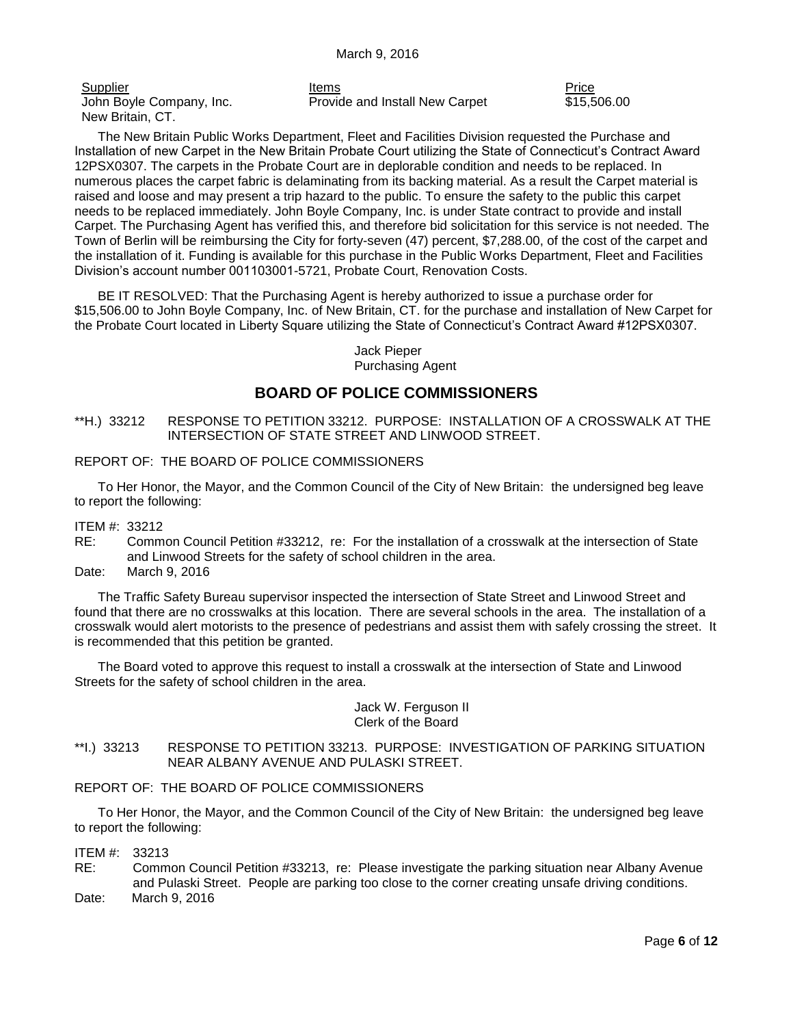John Boyle Company, Inc. New Britain, CT.

Supplier **Items Price Price Price Price Price Price Price Price Price** Provide and Install New Carpet \$15,506.00

The New Britain Public Works Department, Fleet and Facilities Division requested the Purchase and Installation of new Carpet in the New Britain Probate Court utilizing the State of Connecticut's Contract Award 12PSX0307. The carpets in the Probate Court are in deplorable condition and needs to be replaced. In numerous places the carpet fabric is delaminating from its backing material. As a result the Carpet material is raised and loose and may present a trip hazard to the public. To ensure the safety to the public this carpet needs to be replaced immediately. John Boyle Company, Inc. is under State contract to provide and install Carpet. The Purchasing Agent has verified this, and therefore bid solicitation for this service is not needed. The Town of Berlin will be reimbursing the City for forty-seven (47) percent, \$7,288.00, of the cost of the carpet and the installation of it. Funding is available for this purchase in the Public Works Department, Fleet and Facilities Division's account number 001103001-5721, Probate Court, Renovation Costs.

BE IT RESOLVED: That the Purchasing Agent is hereby authorized to issue a purchase order for \$15,506.00 to John Boyle Company, Inc. of New Britain, CT. for the purchase and installation of New Carpet for the Probate Court located in Liberty Square utilizing the State of Connecticut's Contract Award #12PSX0307.

> Jack Pieper Purchasing Agent

# **BOARD OF POLICE COMMISSIONERS**

<span id="page-5-0"></span>\*\*H.) 33212 RESPONSE TO PETITION 33212. PURPOSE: INSTALLATION OF A CROSSWALK AT THE INTERSECTION OF STATE STREET AND LINWOOD STREET.

#### REPORT OF: THE BOARD OF POLICE COMMISSIONERS

To Her Honor, the Mayor, and the Common Council of the City of New Britain: the undersigned beg leave to report the following:

ITEM #: 33212

- RE: Common Council Petition #33212, re: For the installation of a crosswalk at the intersection of State and Linwood Streets for the safety of school children in the area.
- Date: March 9, 2016

The Traffic Safety Bureau supervisor inspected the intersection of State Street and Linwood Street and found that there are no crosswalks at this location. There are several schools in the area. The installation of a crosswalk would alert motorists to the presence of pedestrians and assist them with safely crossing the street. It is recommended that this petition be granted.

The Board voted to approve this request to install a crosswalk at the intersection of State and Linwood Streets for the safety of school children in the area.

> Jack W. Ferguson II Clerk of the Board

<span id="page-5-1"></span>\*\*I.) 33213 RESPONSE TO PETITION 33213. PURPOSE: INVESTIGATION OF PARKING SITUATION NEAR ALBANY AVENUE AND PULASKI STREET.

#### REPORT OF: THE BOARD OF POLICE COMMISSIONERS

To Her Honor, the Mayor, and the Common Council of the City of New Britain: the undersigned beg leave to report the following:

ITEM #: 33213

RE: Common Council Petition #33213, re: Please investigate the parking situation near Albany Avenue and Pulaski Street. People are parking too close to the corner creating unsafe driving conditions. Date: March 9, 2016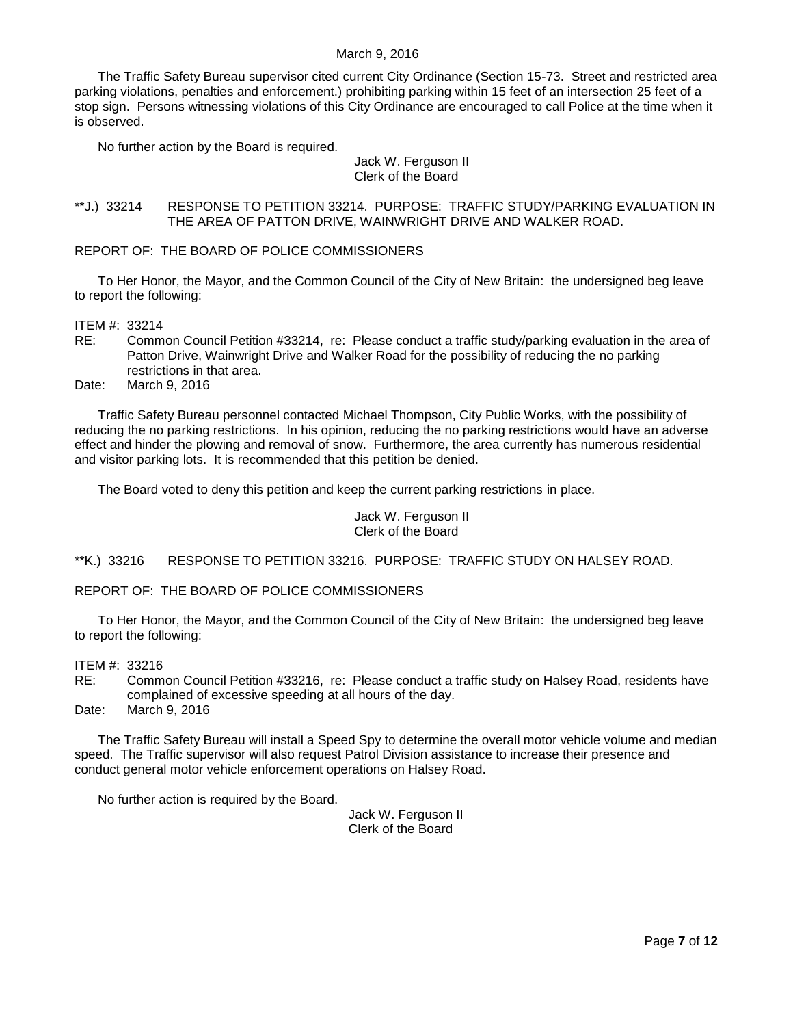The Traffic Safety Bureau supervisor cited current City Ordinance (Section 15-73. Street and restricted area parking violations, penalties and enforcement.) prohibiting parking within 15 feet of an intersection 25 feet of a stop sign. Persons witnessing violations of this City Ordinance are encouraged to call Police at the time when it is observed.

No further action by the Board is required.

#### Jack W. Ferguson II Clerk of the Board

#### <span id="page-6-0"></span>\*\*J.) 33214 RESPONSE TO PETITION 33214. PURPOSE: TRAFFIC STUDY/PARKING EVALUATION IN THE AREA OF PATTON DRIVE, WAINWRIGHT DRIVE AND WALKER ROAD.

REPORT OF: THE BOARD OF POLICE COMMISSIONERS

To Her Honor, the Mayor, and the Common Council of the City of New Britain: the undersigned beg leave to report the following:

ITEM #: 33214

RE: Common Council Petition #33214, re: Please conduct a traffic study/parking evaluation in the area of Patton Drive, Wainwright Drive and Walker Road for the possibility of reducing the no parking restrictions in that area.

Date: March 9, 2016

Traffic Safety Bureau personnel contacted Michael Thompson, City Public Works, with the possibility of reducing the no parking restrictions. In his opinion, reducing the no parking restrictions would have an adverse effect and hinder the plowing and removal of snow. Furthermore, the area currently has numerous residential and visitor parking lots. It is recommended that this petition be denied.

The Board voted to deny this petition and keep the current parking restrictions in place.

Jack W. Ferguson II Clerk of the Board

<span id="page-6-1"></span>\*\*K.) 33216 RESPONSE TO PETITION 33216. PURPOSE: TRAFFIC STUDY ON HALSEY ROAD.

REPORT OF: THE BOARD OF POLICE COMMISSIONERS

To Her Honor, the Mayor, and the Common Council of the City of New Britain: the undersigned beg leave to report the following:

ITEM #: 33216

RE: Common Council Petition #33216, re: Please conduct a traffic study on Halsey Road, residents have complained of excessive speeding at all hours of the day.

Date: March 9, 2016

The Traffic Safety Bureau will install a Speed Spy to determine the overall motor vehicle volume and median speed. The Traffic supervisor will also request Patrol Division assistance to increase their presence and conduct general motor vehicle enforcement operations on Halsey Road.

No further action is required by the Board.

Jack W. Ferguson II Clerk of the Board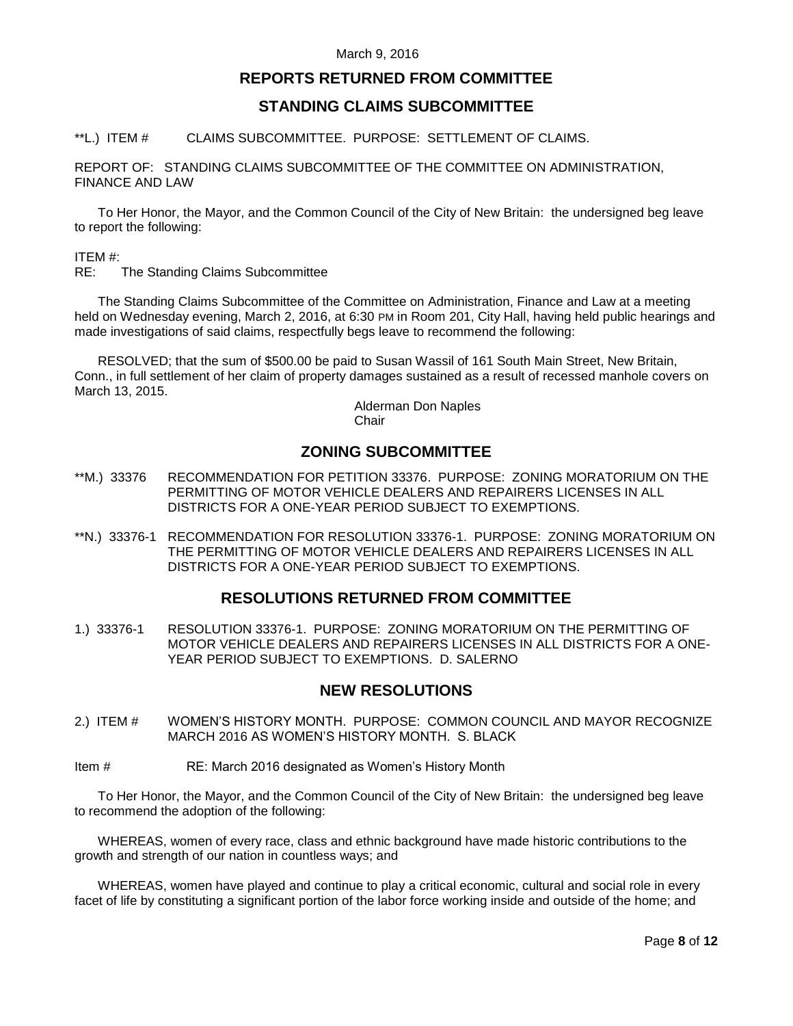## **REPORTS RETURNED FROM COMMITTEE**

# **STANDING CLAIMS SUBCOMMITTEE**

#### <span id="page-7-0"></span>\*\*L.) ITEM # CLAIMS SUBCOMMITTEE. PURPOSE: SETTLEMENT OF CLAIMS.

REPORT OF: STANDING CLAIMS SUBCOMMITTEE OF THE COMMITTEE ON ADMINISTRATION, FINANCE AND LAW

To Her Honor, the Mayor, and the Common Council of the City of New Britain: the undersigned beg leave to report the following:

ITEM #:

RE: The Standing Claims Subcommittee

The Standing Claims Subcommittee of the Committee on Administration, Finance and Law at a meeting held on Wednesday evening, March 2, 2016, at 6:30 PM in Room 201, City Hall, having held public hearings and made investigations of said claims, respectfully begs leave to recommend the following:

RESOLVED; that the sum of \$500.00 be paid to Susan Wassil of 161 South Main Street, New Britain, Conn., in full settlement of her claim of property damages sustained as a result of recessed manhole covers on March 13, 2015.

> Alderman Don Naples **Chair**

# **ZONING SUBCOMMITTEE**

- <span id="page-7-1"></span>\*\*M.) 33376 RECOMMENDATION FOR PETITION 33376. PURPOSE: ZONING MORATORIUM ON THE PERMITTING OF MOTOR VEHICLE DEALERS AND REPAIRERS LICENSES IN ALL DISTRICTS FOR A ONE-YEAR PERIOD SUBJECT TO EXEMPTIONS.
- <span id="page-7-2"></span>\*\*N.) 33376-1 RECOMMENDATION FOR RESOLUTION 33376-1. PURPOSE: ZONING MORATORIUM ON THE PERMITTING OF MOTOR VEHICLE DEALERS AND REPAIRERS LICENSES IN ALL DISTRICTS FOR A ONE-YEAR PERIOD SUBJECT TO EXEMPTIONS.

# **RESOLUTIONS RETURNED FROM COMMITTEE**

<span id="page-7-3"></span>1.) 33376-1 RESOLUTION 33376-1. PURPOSE: ZONING MORATORIUM ON THE PERMITTING OF MOTOR VEHICLE DEALERS AND REPAIRERS LICENSES IN ALL DISTRICTS FOR A ONE-YEAR PERIOD SUBJECT TO EXEMPTIONS. D. SALERNO

# **NEW RESOLUTIONS**

- <span id="page-7-4"></span>2.) ITEM # WOMEN'S HISTORY MONTH. PURPOSE: COMMON COUNCIL AND MAYOR RECOGNIZE MARCH 2016 AS WOMEN'S HISTORY MONTH. S. BLACK
- Item # RE: March 2016 designated as Women's History Month

To Her Honor, the Mayor, and the Common Council of the City of New Britain: the undersigned beg leave to recommend the adoption of the following:

WHEREAS, women of every race, class and ethnic background have made historic contributions to the growth and strength of our nation in countless ways; and

WHEREAS, women have played and continue to play a critical economic, cultural and social role in every facet of life by constituting a significant portion of the labor force working inside and outside of the home; and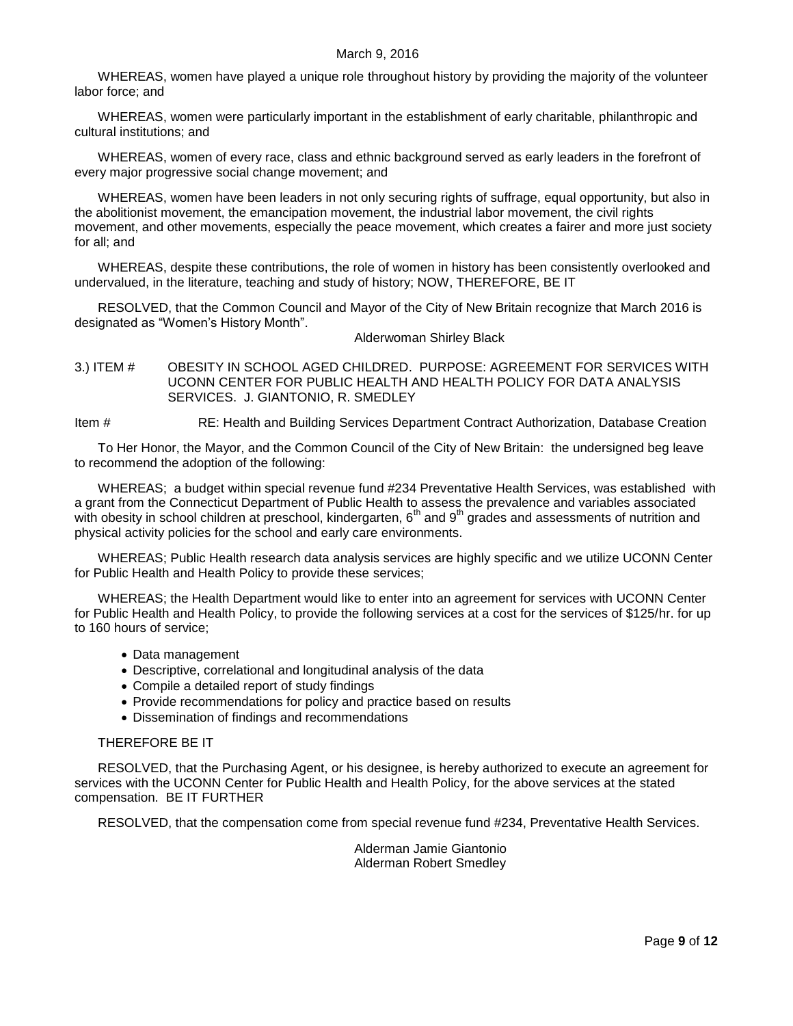WHEREAS, women have played a unique role throughout history by providing the majority of the volunteer labor force; and

WHEREAS, women were particularly important in the establishment of early charitable, philanthropic and cultural institutions; and

WHEREAS, women of every race, class and ethnic background served as early leaders in the forefront of every major progressive social change movement; and

WHEREAS, women have been leaders in not only securing rights of suffrage, equal opportunity, but also in the abolitionist movement, the emancipation movement, the industrial labor movement, the civil rights movement, and other movements, especially the peace movement, which creates a fairer and more just society for all; and

WHEREAS, despite these contributions, the role of women in history has been consistently overlooked and undervalued, in the literature, teaching and study of history; NOW, THEREFORE, BE IT

RESOLVED, that the Common Council and Mayor of the City of New Britain recognize that March 2016 is designated as "Women's History Month".

Alderwoman Shirley Black

<span id="page-8-0"></span>3.) ITEM # OBESITY IN SCHOOL AGED CHILDRED. PURPOSE: AGREEMENT FOR SERVICES WITH UCONN CENTER FOR PUBLIC HEALTH AND HEALTH POLICY FOR DATA ANALYSIS SERVICES. J. GIANTONIO, R. SMEDLEY

Item # RE: Health and Building Services Department Contract Authorization, Database Creation

To Her Honor, the Mayor, and the Common Council of the City of New Britain: the undersigned beg leave to recommend the adoption of the following:

WHEREAS; a budget within special revenue fund #234 Preventative Health Services, was established with a grant from the Connecticut Department of Public Health to assess the prevalence and variables associated with obesity in school children at preschool, kindergarten, 6<sup>th</sup> and 9<sup>th</sup> grades and assessments of nutrition and physical activity policies for the school and early care environments.

WHEREAS; Public Health research data analysis services are highly specific and we utilize UCONN Center for Public Health and Health Policy to provide these services;

WHEREAS; the Health Department would like to enter into an agreement for services with UCONN Center for Public Health and Health Policy, to provide the following services at a cost for the services of \$125/hr. for up to 160 hours of service;

- Data management
- Descriptive, correlational and longitudinal analysis of the data
- Compile a detailed report of study findings
- Provide recommendations for policy and practice based on results
- Dissemination of findings and recommendations

#### THEREFORE BE IT

RESOLVED, that the Purchasing Agent, or his designee, is hereby authorized to execute an agreement for services with the UCONN Center for Public Health and Health Policy, for the above services at the stated compensation. BE IT FURTHER

RESOLVED, that the compensation come from special revenue fund #234, Preventative Health Services.

Alderman Jamie Giantonio Alderman Robert Smedley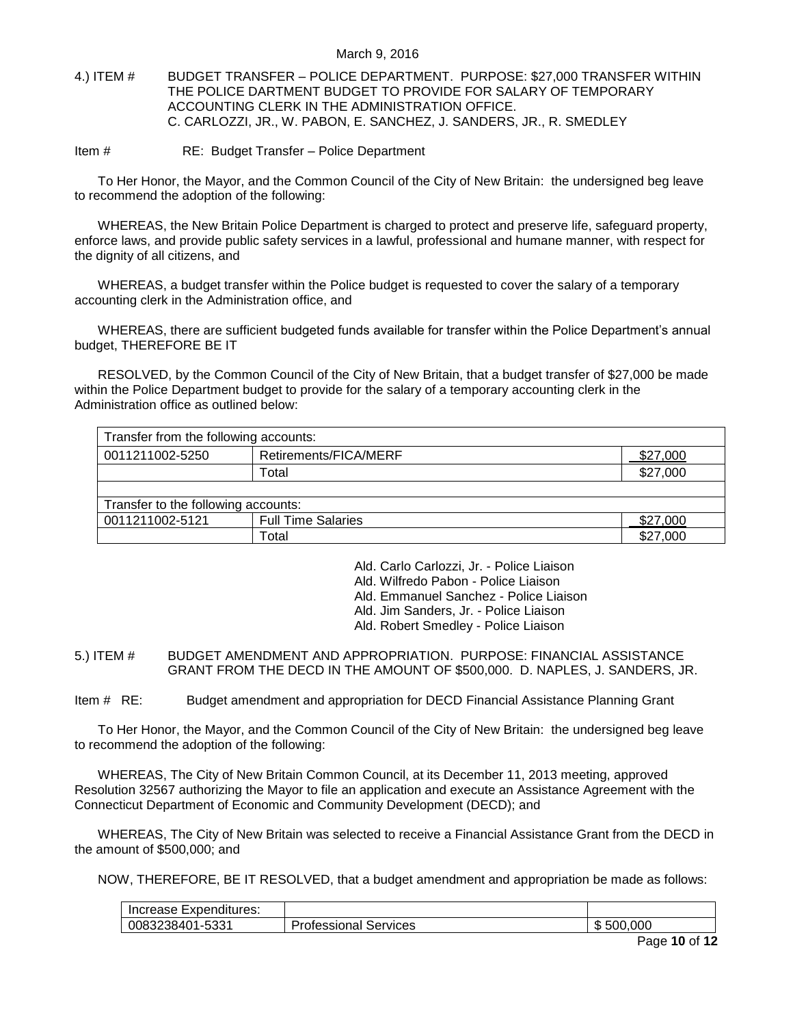#### <span id="page-9-0"></span>4.) ITEM # BUDGET TRANSFER – POLICE DEPARTMENT. PURPOSE: \$27,000 TRANSFER WITHIN THE POLICE DARTMENT BUDGET TO PROVIDE FOR SALARY OF TEMPORARY ACCOUNTING CLERK IN THE ADMINISTRATION OFFICE. C. CARLOZZI, JR., W. PABON, E. SANCHEZ, J. SANDERS, JR., R. SMEDLEY

Item # RE: Budget Transfer – Police Department

To Her Honor, the Mayor, and the Common Council of the City of New Britain: the undersigned beg leave to recommend the adoption of the following:

WHEREAS, the New Britain Police Department is charged to protect and preserve life, safeguard property, enforce laws, and provide public safety services in a lawful, professional and humane manner, with respect for the dignity of all citizens, and

WHEREAS, a budget transfer within the Police budget is requested to cover the salary of a temporary accounting clerk in the Administration office, and

WHEREAS, there are sufficient budgeted funds available for transfer within the Police Department's annual budget, THEREFORE BE IT

RESOLVED, by the Common Council of the City of New Britain, that a budget transfer of \$27,000 be made within the Police Department budget to provide for the salary of a temporary accounting clerk in the Administration office as outlined below:

| Transfer from the following accounts: |                           |          |  |  |
|---------------------------------------|---------------------------|----------|--|--|
| 0011211002-5250                       | Retirements/FICA/MERF     | \$27,000 |  |  |
|                                       | Total                     | \$27,000 |  |  |
|                                       |                           |          |  |  |
| Transfer to the following accounts:   |                           |          |  |  |
| 0011211002-5121                       | <b>Full Time Salaries</b> | \$27,000 |  |  |
|                                       | Total                     | \$27,000 |  |  |

Ald. Carlo Carlozzi, Jr. - Police Liaison

Ald. Wilfredo Pabon - Police Liaison

Ald. Emmanuel Sanchez - Police Liaison

Ald. Jim Sanders, Jr. - Police Liaison

Ald. Robert Smedley - Police Liaison

<span id="page-9-1"></span>5.) ITEM # BUDGET AMENDMENT AND APPROPRIATION. PURPOSE: FINANCIAL ASSISTANCE GRANT FROM THE DECD IN THE AMOUNT OF \$500,000. D. NAPLES, J. SANDERS, JR.

Item # RE: Budget amendment and appropriation for DECD Financial Assistance Planning Grant

To Her Honor, the Mayor, and the Common Council of the City of New Britain: the undersigned beg leave to recommend the adoption of the following:

WHEREAS, The City of New Britain Common Council, at its December 11, 2013 meeting, approved Resolution 32567 authorizing the Mayor to file an application and execute an Assistance Agreement with the Connecticut Department of Economic and Community Development (DECD); and

WHEREAS, The City of New Britain was selected to receive a Financial Assistance Grant from the DECD in the amount of \$500,000; and

NOW, THEREFORE, BE IT RESOLVED, that a budget amendment and appropriation be made as follows:

| Increase<br>Expenditures:                                              |                                    |      |
|------------------------------------------------------------------------|------------------------------------|------|
| <b>FOO-</b><br>20832<br>າເ<br>. .<br>. .<br>- - - - - -<br>JJJ.<br>r v | -<br>t<br>Services<br><br>essional | .00C |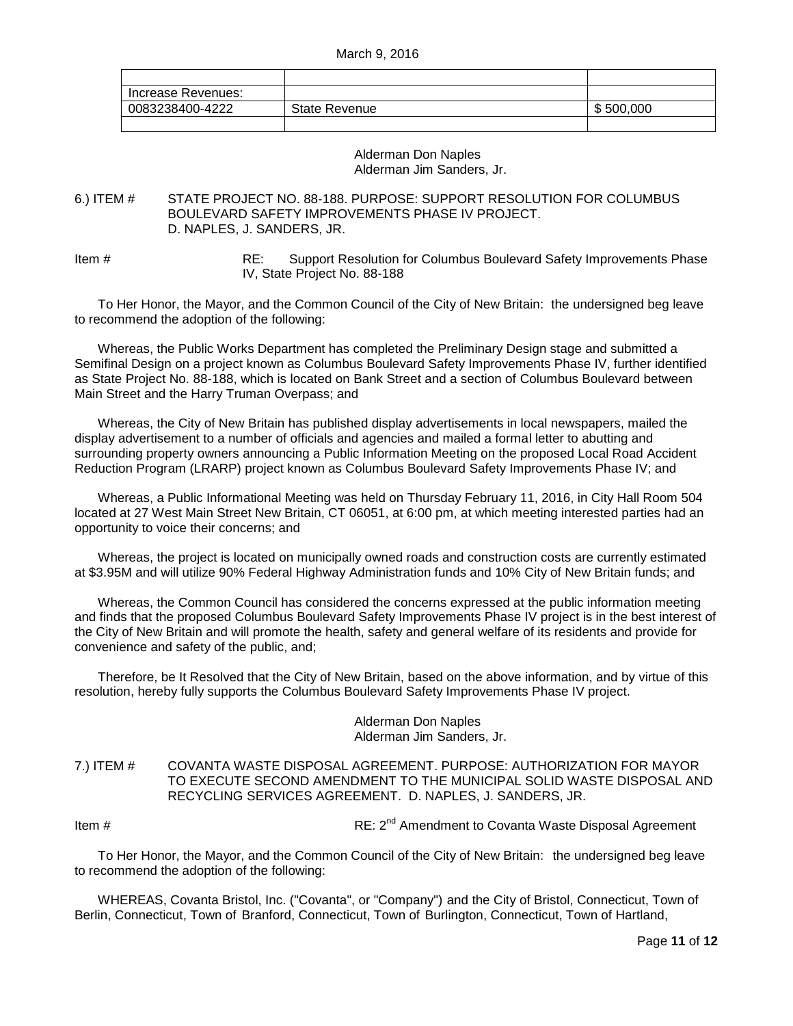| Increase Revenues: |               |           |
|--------------------|---------------|-----------|
| 0083238400-4222    | State Revenue | \$500,000 |
|                    |               |           |

#### Alderman Don Naples Alderman Jim Sanders, Jr.

#### <span id="page-10-0"></span>6.) ITEM # STATE PROJECT NO. 88-188. PURPOSE: SUPPORT RESOLUTION FOR COLUMBUS BOULEVARD SAFETY IMPROVEMENTS PHASE IV PROJECT. D. NAPLES, J. SANDERS, JR.

Item # RE: Support Resolution for Columbus Boulevard Safety Improvements Phase IV, State Project No. 88-188

To Her Honor, the Mayor, and the Common Council of the City of New Britain: the undersigned beg leave to recommend the adoption of the following:

Whereas, the Public Works Department has completed the Preliminary Design stage and submitted a Semifinal Design on a project known as Columbus Boulevard Safety Improvements Phase IV, further identified as State Project No. 88-188, which is located on Bank Street and a section of Columbus Boulevard between Main Street and the Harry Truman Overpass; and

Whereas, the City of New Britain has published display advertisements in local newspapers, mailed the display advertisement to a number of officials and agencies and mailed a formal letter to abutting and surrounding property owners announcing a Public Information Meeting on the proposed Local Road Accident Reduction Program (LRARP) project known as Columbus Boulevard Safety Improvements Phase IV; and

Whereas, a Public Informational Meeting was held on Thursday February 11, 2016, in City Hall Room 504 located at 27 West Main Street New Britain, CT 06051, at 6:00 pm, at which meeting interested parties had an opportunity to voice their concerns; and

Whereas, the project is located on municipally owned roads and construction costs are currently estimated at \$3.95M and will utilize 90% Federal Highway Administration funds and 10% City of New Britain funds; and

Whereas, the Common Council has considered the concerns expressed at the public information meeting and finds that the proposed Columbus Boulevard Safety Improvements Phase IV project is in the best interest of the City of New Britain and will promote the health, safety and general welfare of its residents and provide for convenience and safety of the public, and;

Therefore, be It Resolved that the City of New Britain, based on the above information, and by virtue of this resolution, hereby fully supports the Columbus Boulevard Safety Improvements Phase IV project.

#### Alderman Don Naples Alderman Jim Sanders, Jr.

<span id="page-10-1"></span>7.) ITEM # COVANTA WASTE DISPOSAL AGREEMENT. PURPOSE: AUTHORIZATION FOR MAYOR TO EXECUTE SECOND AMENDMENT TO THE MUNICIPAL SOLID WASTE DISPOSAL AND RECYCLING SERVICES AGREEMENT. D. NAPLES, J. SANDERS, JR.

Item # Item # RE: 2<sup>nd</sup> Amendment to Covanta Waste Disposal Agreement

To Her Honor, the Mayor, and the Common Council of the City of New Britain: the undersigned beg leave to recommend the adoption of the following:

WHEREAS, Covanta Bristol, Inc. ("Covanta", or "Company") and the City of Bristol, Connecticut, Town of Berlin, Connecticut, Town of Branford, Connecticut, Town of Burlington, Connecticut, Town of Hartland,